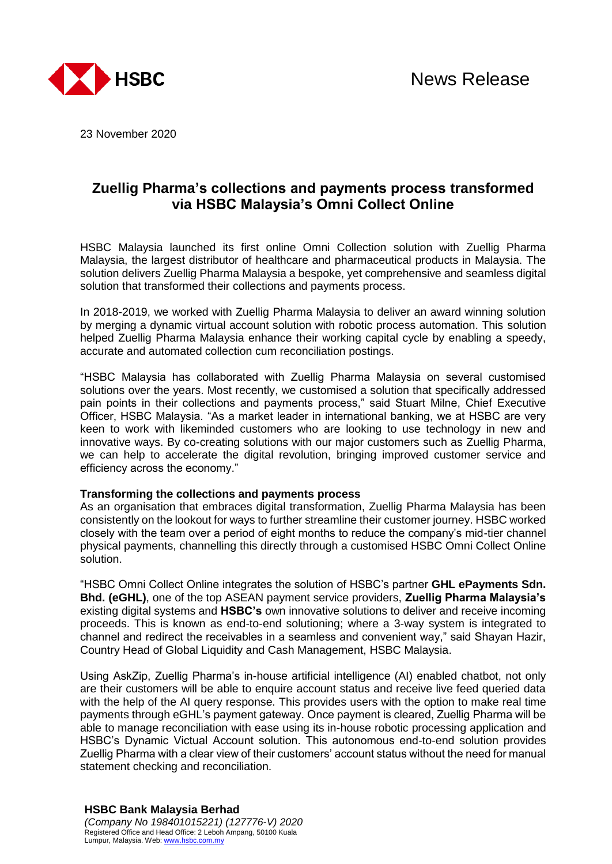

23 November 2020

# **Zuellig Pharma's collections and payments process transformed via HSBC Malaysia's Omni Collect Online**

HSBC Malaysia launched its first online Omni Collection solution with Zuellig Pharma Malaysia, the largest distributor of healthcare and pharmaceutical products in Malaysia. The solution delivers Zuellig Pharma Malaysia a bespoke, yet comprehensive and seamless digital solution that transformed their collections and payments process.

In 2018-2019, we worked with Zuellig Pharma Malaysia to deliver an award winning solution by merging a dynamic virtual account solution with robotic process automation. This solution helped Zuellig Pharma Malaysia enhance their working capital cycle by enabling a speedy, accurate and automated collection cum reconciliation postings.

"HSBC Malaysia has collaborated with Zuellig Pharma Malaysia on several customised solutions over the years. Most recently, we customised a solution that specifically addressed pain points in their collections and payments process," said Stuart Milne, Chief Executive Officer, HSBC Malaysia. "As a market leader in international banking, we at HSBC are very keen to work with likeminded customers who are looking to use technology in new and innovative ways. By co-creating solutions with our major customers such as Zuellig Pharma, we can help to accelerate the digital revolution, bringing improved customer service and efficiency across the economy."

### **Transforming the collections and payments process**

As an organisation that embraces digital transformation, Zuellig Pharma Malaysia has been consistently on the lookout for ways to further streamline their customer journey. HSBC worked closely with the team over a period of eight months to reduce the company's mid-tier channel physical payments, channelling this directly through a customised HSBC Omni Collect Online solution.

"HSBC Omni Collect Online integrates the solution of HSBC's partner **GHL ePayments Sdn. Bhd. (eGHL)**, one of the top ASEAN payment service providers, **Zuellig Pharma Malaysia's** existing digital systems and **HSBC's** own innovative solutions to deliver and receive incoming proceeds. This is known as end-to-end solutioning; where a 3-way system is integrated to channel and redirect the receivables in a seamless and convenient way," said Shayan Hazir, Country Head of Global Liquidity and Cash Management, HSBC Malaysia.

Using AskZip, Zuellig Pharma's in-house artificial intelligence (AI) enabled chatbot, not only are their customers will be able to enquire account status and receive live feed queried data with the help of the AI query response. This provides users with the option to make real time payments through eGHL's payment gateway. Once payment is cleared, Zuellig Pharma will be able to manage reconciliation with ease using its in-house robotic processing application and HSBC's Dynamic Victual Account solution. This autonomous end-to-end solution provides Zuellig Pharma with a clear view of their customers' account status without the need for manual statement checking and reconciliation.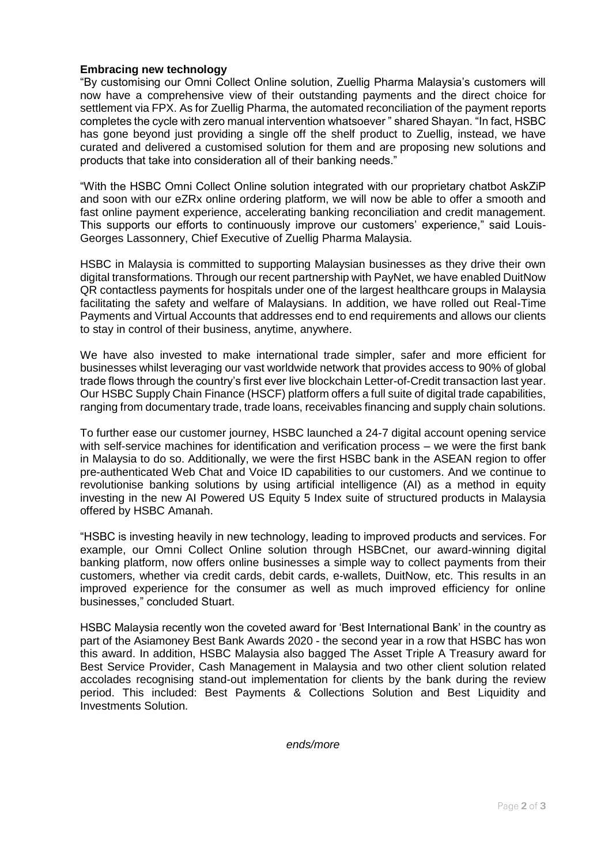# **Embracing new technology**

"By customising our Omni Collect Online solution, Zuellig Pharma Malaysia's customers will now have a comprehensive view of their outstanding payments and the direct choice for settlement via FPX. As for Zuellig Pharma, the automated reconciliation of the payment reports completes the cycle with zero manual intervention whatsoever " shared Shayan. "In fact, HSBC has gone beyond just providing a single off the shelf product to Zuellig, instead, we have curated and delivered a customised solution for them and are proposing new solutions and products that take into consideration all of their banking needs."

"With the HSBC Omni Collect Online solution integrated with our proprietary chatbot AskZiP and soon with our eZRx online ordering platform, we will now be able to offer a smooth and fast online payment experience, accelerating banking reconciliation and credit management. This supports our efforts to continuously improve our customers' experience," said Louis-Georges Lassonnery, Chief Executive of Zuellig Pharma Malaysia.

HSBC in Malaysia is committed to supporting Malaysian businesses as they drive their own digital transformations. Through our recent partnership with PayNet, we have enabled DuitNow QR contactless payments for hospitals under one of the largest healthcare groups in Malaysia facilitating the safety and welfare of Malaysians. In addition, we have rolled out Real-Time Payments and Virtual Accounts that addresses end to end requirements and allows our clients to stay in control of their business, anytime, anywhere.

We have also invested to make international trade simpler, safer and more efficient for businesses whilst leveraging our vast worldwide network that provides access to 90% of global trade flows through the country's first ever live blockchain Letter-of-Credit transaction last year. Our HSBC Supply Chain Finance (HSCF) platform offers a full suite of digital trade capabilities, ranging from documentary trade, trade loans, receivables financing and supply chain solutions.

To further ease our customer journey, HSBC launched a 24-7 digital account opening service with self-service machines for identification and verification process – we were the first bank in Malaysia to do so. Additionally, we were the first HSBC bank in the ASEAN region to offer pre-authenticated Web Chat and Voice ID capabilities to our customers. And we continue to revolutionise banking solutions by using artificial intelligence (AI) as a method in equity investing in the new AI Powered US Equity 5 Index suite of structured products in Malaysia offered by HSBC Amanah.

"HSBC is investing heavily in new technology, leading to improved products and services. For example, our Omni Collect Online solution through HSBCnet, our award-winning digital banking platform, now offers online businesses a simple way to collect payments from their customers, whether via credit cards, debit cards, e-wallets, DuitNow, etc. This results in an improved experience for the consumer as well as much improved efficiency for online businesses," concluded Stuart.

HSBC Malaysia recently won the coveted award for 'Best International Bank' in the country as part of the Asiamoney Best Bank Awards 2020 - the second year in a row that HSBC has won this award. In addition, HSBC Malaysia also bagged The Asset Triple A Treasury award for Best Service Provider, Cash Management in Malaysia and two other client solution related accolades recognising stand-out implementation for clients by the bank during the review period. This included: Best Payments & Collections Solution and Best Liquidity and Investments Solution.

*ends/more*